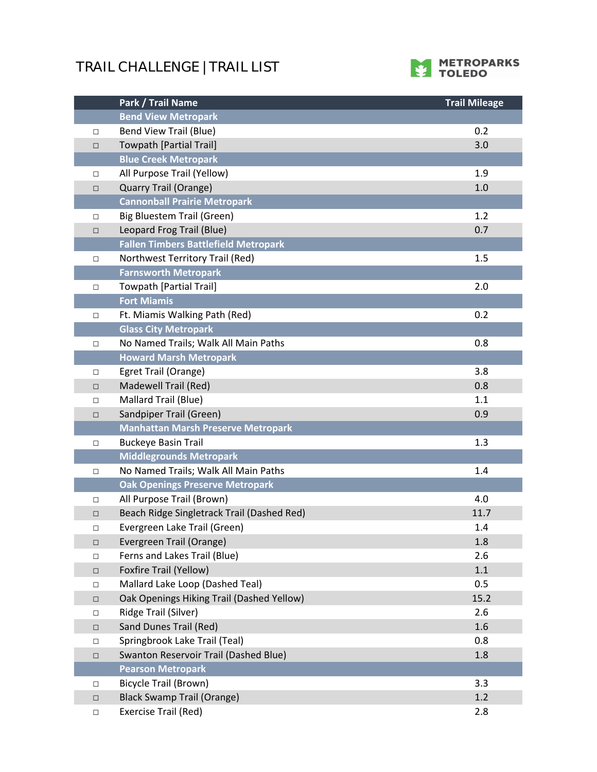## **TRAIL CHALLENGE | TRAIL LIST**



|        | Park / Trail Name                           | <b>Trail Mileage</b> |
|--------|---------------------------------------------|----------------------|
|        | <b>Bend View Metropark</b>                  |                      |
| $\Box$ | <b>Bend View Trail (Blue)</b>               | 0.2                  |
| $\Box$ | <b>Towpath [Partial Trail]</b>              | 3.0                  |
|        | <b>Blue Creek Metropark</b>                 |                      |
| $\Box$ | All Purpose Trail (Yellow)                  | 1.9                  |
| $\Box$ | <b>Quarry Trail (Orange)</b>                | 1.0                  |
|        | <b>Cannonball Prairie Metropark</b>         |                      |
| $\Box$ | Big Bluestem Trail (Green)                  | 1.2                  |
| $\Box$ | Leopard Frog Trail (Blue)                   | 0.7                  |
|        | <b>Fallen Timbers Battlefield Metropark</b> |                      |
| □      | Northwest Territory Trail (Red)             | 1.5                  |
|        | <b>Farnsworth Metropark</b>                 |                      |
| $\Box$ | <b>Towpath [Partial Trail]</b>              | 2.0                  |
|        | <b>Fort Miamis</b>                          |                      |
| $\Box$ | Ft. Miamis Walking Path (Red)               | 0.2                  |
|        | <b>Glass City Metropark</b>                 |                      |
| $\Box$ | No Named Trails; Walk All Main Paths        | 0.8                  |
|        | <b>Howard Marsh Metropark</b>               |                      |
| $\Box$ | Egret Trail (Orange)                        | 3.8                  |
| $\Box$ | Madewell Trail (Red)                        | 0.8                  |
| $\Box$ | Mallard Trail (Blue)                        | 1.1                  |
| $\Box$ | Sandpiper Trail (Green)                     | 0.9                  |
|        | <b>Manhattan Marsh Preserve Metropark</b>   |                      |
| $\Box$ | <b>Buckeye Basin Trail</b>                  | 1.3                  |
|        | <b>Middlegrounds Metropark</b>              |                      |
| $\Box$ | No Named Trails; Walk All Main Paths        | 1.4                  |
|        | <b>Oak Openings Preserve Metropark</b>      |                      |
| $\Box$ | All Purpose Trail (Brown)                   | 4.0                  |
| $\Box$ | Beach Ridge Singletrack Trail (Dashed Red)  | 11.7                 |
| $\Box$ | Evergreen Lake Trail (Green)                | 1.4                  |
| $\Box$ | Evergreen Trail (Orange)                    | 1.8                  |
| $\Box$ | Ferns and Lakes Trail (Blue)                | 2.6                  |
| $\Box$ | Foxfire Trail (Yellow)                      | 1.1                  |
| $\Box$ | Mallard Lake Loop (Dashed Teal)             | 0.5                  |
| $\Box$ | Oak Openings Hiking Trail (Dashed Yellow)   | 15.2                 |
| $\Box$ | Ridge Trail (Silver)                        | 2.6                  |
| $\Box$ | Sand Dunes Trail (Red)                      | 1.6                  |
| $\Box$ | Springbrook Lake Trail (Teal)               | 0.8                  |
| $\Box$ | Swanton Reservoir Trail (Dashed Blue)       | 1.8                  |
|        | <b>Pearson Metropark</b>                    |                      |
| $\Box$ | <b>Bicycle Trail (Brown)</b>                | 3.3                  |
| $\Box$ | <b>Black Swamp Trail (Orange)</b>           | 1.2                  |
| $\Box$ | Exercise Trail (Red)                        | 2.8                  |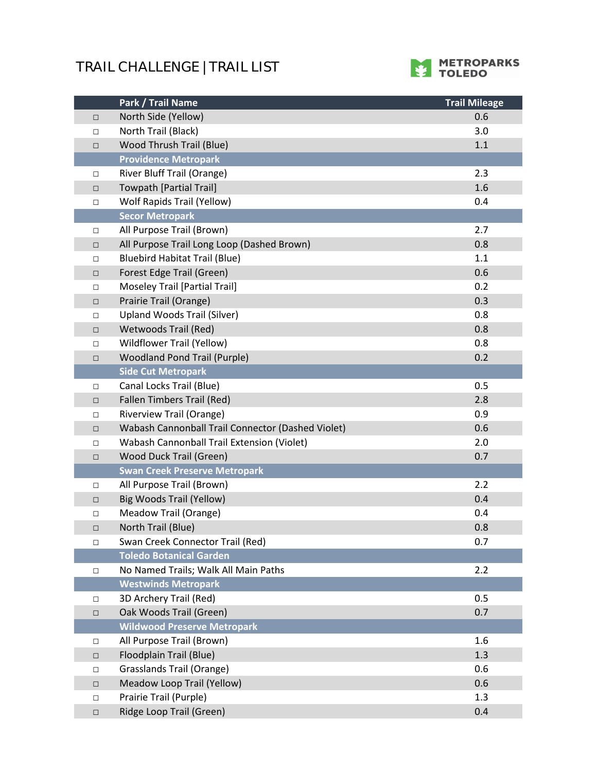## **TRAIL CHALLENGE | TRAIL LIST**



|        | Park / Trail Name                                 | <b>Trail Mileage</b> |
|--------|---------------------------------------------------|----------------------|
| $\Box$ | North Side (Yellow)                               | 0.6                  |
| $\Box$ | North Trail (Black)                               | 3.0                  |
| $\Box$ | Wood Thrush Trail (Blue)                          | 1.1                  |
|        | <b>Providence Metropark</b>                       |                      |
| $\Box$ | River Bluff Trail (Orange)                        | 2.3                  |
| $\Box$ | <b>Towpath [Partial Trail]</b>                    | 1.6                  |
| $\Box$ | <b>Wolf Rapids Trail (Yellow)</b>                 | 0.4                  |
|        | <b>Secor Metropark</b>                            |                      |
| □      | All Purpose Trail (Brown)                         | 2.7                  |
| $\Box$ | All Purpose Trail Long Loop (Dashed Brown)        | 0.8                  |
| $\Box$ | <b>Bluebird Habitat Trail (Blue)</b>              | 1.1                  |
| $\Box$ | Forest Edge Trail (Green)                         | 0.6                  |
| $\Box$ | Moseley Trail [Partial Trail]                     | 0.2                  |
| $\Box$ | Prairie Trail (Orange)                            | 0.3                  |
| $\Box$ | <b>Upland Woods Trail (Silver)</b>                | 0.8                  |
| $\Box$ | <b>Wetwoods Trail (Red)</b>                       | 0.8                  |
| $\Box$ | <b>Wildflower Trail (Yellow)</b>                  | 0.8                  |
| $\Box$ | <b>Woodland Pond Trail (Purple)</b>               | 0.2                  |
|        | <b>Side Cut Metropark</b>                         |                      |
| $\Box$ | Canal Locks Trail (Blue)                          | 0.5                  |
| $\Box$ | <b>Fallen Timbers Trail (Red)</b>                 | 2.8                  |
| $\Box$ | <b>Riverview Trail (Orange)</b>                   | 0.9                  |
| $\Box$ | Wabash Cannonball Trail Connector (Dashed Violet) | 0.6                  |
| $\Box$ | Wabash Cannonball Trail Extension (Violet)        | 2.0                  |
| $\Box$ | Wood Duck Trail (Green)                           | 0.7                  |
|        | <b>Swan Creek Preserve Metropark</b>              |                      |
| $\Box$ | All Purpose Trail (Brown)                         | 2.2                  |
| $\Box$ | <b>Big Woods Trail (Yellow)</b>                   | 0.4                  |
| $\Box$ | Meadow Trail (Orange)                             | 0.4                  |
| □      | North Trail (Blue)                                | 0.8                  |
| $\Box$ | Swan Creek Connector Trail (Red)                  | 0.7                  |
|        | <b>Toledo Botanical Garden</b>                    |                      |
| $\Box$ | No Named Trails; Walk All Main Paths              | 2.2                  |
|        | <b>Westwinds Metropark</b>                        |                      |
| $\Box$ | 3D Archery Trail (Red)                            | 0.5                  |
| $\Box$ | Oak Woods Trail (Green)                           | 0.7                  |
|        | <b>Wildwood Preserve Metropark</b>                |                      |
| □      | All Purpose Trail (Brown)                         | 1.6                  |
| $\Box$ | Floodplain Trail (Blue)                           | 1.3                  |
| $\Box$ | Grasslands Trail (Orange)                         | 0.6                  |
| $\Box$ | Meadow Loop Trail (Yellow)                        | 0.6                  |
| $\Box$ | Prairie Trail (Purple)                            | 1.3                  |
| $\Box$ | Ridge Loop Trail (Green)                          | 0.4                  |